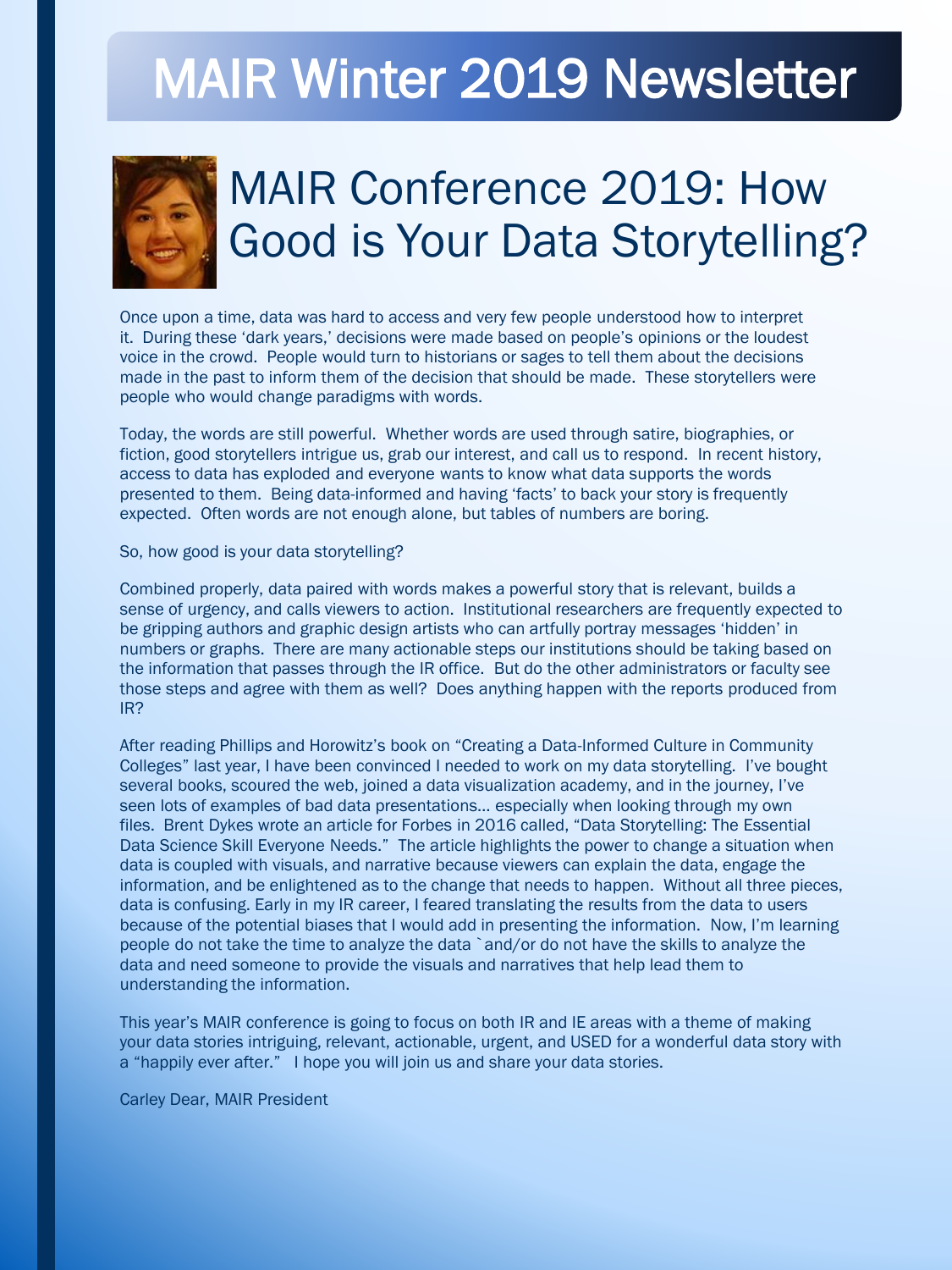# MAIR Winter 2019 Newsletter



## MAIR Conference 2019: How Good is Your Data Storytelling?

Once upon a time, data was hard to access and very few people understood how to interpret it. During these 'dark years,' decisions were made based on people's opinions or the loudest voice in the crowd. People would turn to historians or sages to tell them about the decisions made in the past to inform them of the decision that should be made. These storytellers were people who would change paradigms with words.

Today, the words are still powerful. Whether words are used through satire, biographies, or fiction, good storytellers intrigue us, grab our interest, and call us to respond. In recent history, access to data has exploded and everyone wants to know what data supports the words presented to them. Being data-informed and having 'facts' to back your story is frequently expected. Often words are not enough alone, but tables of numbers are boring.

So, how good is your data storytelling?

Combined properly, data paired with words makes a powerful story that is relevant, builds a sense of urgency, and calls viewers to action. Institutional researchers are frequently expected to be gripping authors and graphic design artists who can artfully portray messages 'hidden' in numbers or graphs. There are many actionable steps our institutions should be taking based on the information that passes through the IR office. But do the other administrators or faculty see those steps and agree with them as well? Does anything happen with the reports produced from IR?

After reading Phillips and Horowitz's book on "Creating a Data-Informed Culture in Community Colleges" last year, I have been convinced I needed to work on my data storytelling. I've bought several books, scoured the web, joined a data visualization academy, and in the journey, I've seen lots of examples of bad data presentations… especially when looking through my own files. Brent Dykes wrote an article for Forbes in 2016 called, "Data Storytelling: The Essential Data Science Skill Everyone Needs." The article highlights the power to change a situation when data is coupled with visuals, and narrative because viewers can explain the data, engage the information, and be enlightened as to the change that needs to happen. Without all three pieces, data is confusing. Early in my IR career, I feared translating the results from the data to users because of the potential biases that I would add in presenting the information. Now, I'm learning people do not take the time to analyze the data `and/or do not have the skills to analyze the data and need someone to provide the visuals and narratives that help lead them to understanding the information.

This year's MAIR conference is going to focus on both IR and IE areas with a theme of making your data stories intriguing, relevant, actionable, urgent, and USED for a wonderful data story with a "happily ever after." I hope you will join us and share your data stories.

Carley Dear, MAIR President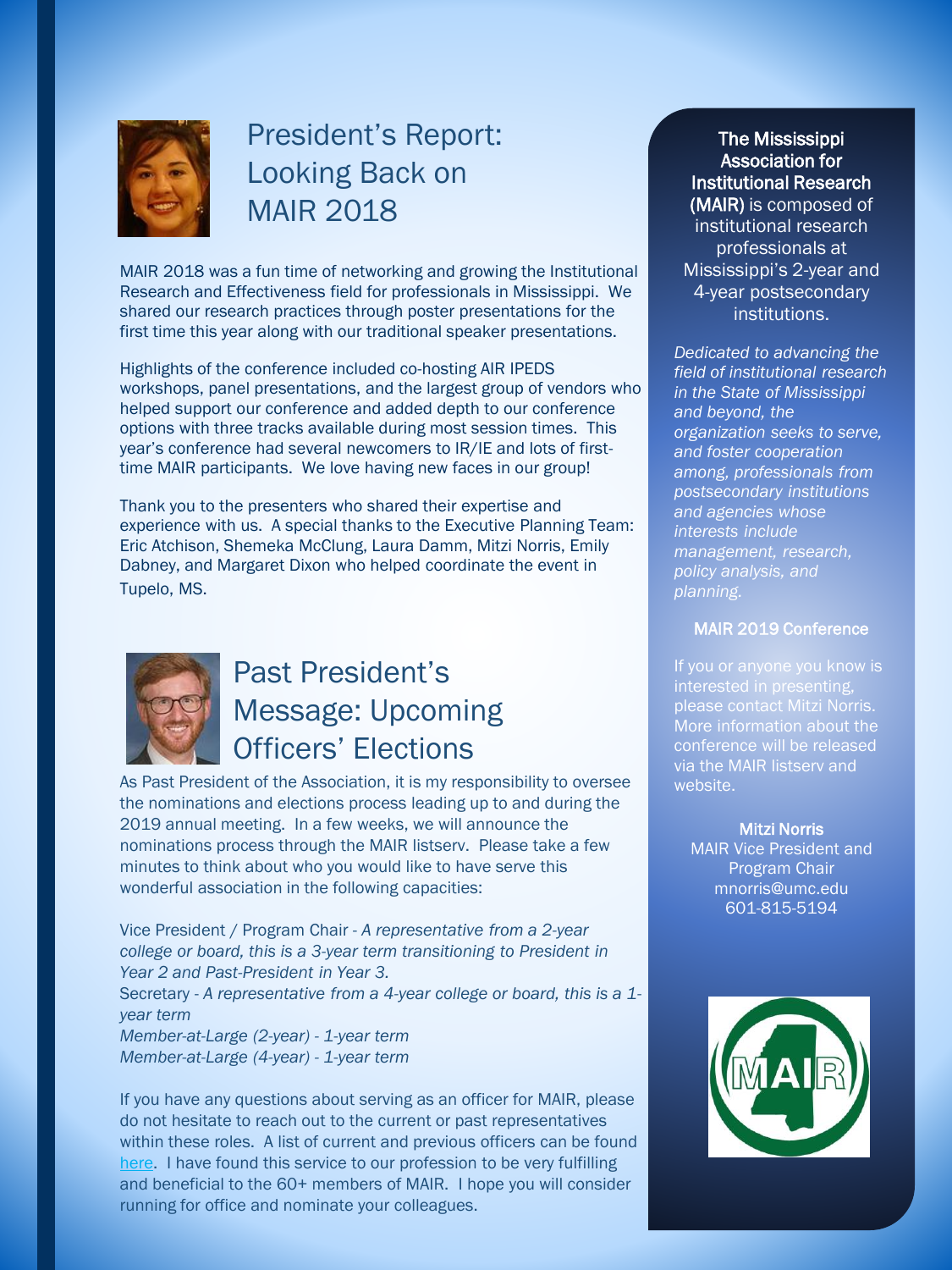

## President's Report: Looking Back on MAIR 2018

MAIR 2018 was a fun time of networking and growing the Institutional Research and Effectiveness field for professionals in Mississippi. We shared our research practices through poster presentations for the first time this year along with our traditional speaker presentations.

Highlights of the conference included co-hosting AIR IPEDS workshops, panel presentations, and the largest group of vendors who helped support our conference and added depth to our conference options with three tracks available during most session times. This year's conference had several newcomers to IR/IE and lots of firsttime MAIR participants. We love having new faces in our group!

Thank you to the presenters who shared their expertise and experience with us. A special thanks to the Executive Planning Team: Eric Atchison, Shemeka McClung, Laura Damm, Mitzi Norris, Emily Dabney, and Margaret Dixon who helped coordinate the event in Tupelo, MS.



### Past President's Message: Upcoming Officers' Elections

As Past President of the Association, it is my responsibility to oversee the nominations and elections process leading up to and during the 2019 annual meeting. In a few weeks, we will announce the nominations process through the MAIR listserv. Please take a few minutes to think about who you would like to have serve this wonderful association in the following capacities:

Vice President / Program Chair - *A representative from a 2-year college or board, this is a 3-year term transitioning to President in Year 2 and Past-President in Year 3.* Secretary - *A representative from a 4-year college or board, this is a 1 year term Member-at-Large (2-year) - 1-year term Member-at-Large (4-year) - 1-year term*

If you have any questions about serving as an officer for MAIR, please do not hesitate to reach out to the current or past representatives within these roles. A list of current and previous officers can be found [here.](http://docs.wixstatic.com/ugd/a05b95_4cfa1888ae8c483aab44aefb1278f4ee.pdf) I have found this service to our profession to be very fulfilling and beneficial to the 60+ members of MAIR. I hope you will consider running for office and nominate your colleagues.

The Mississippi Association for Institutional Research (MAIR) is composed of institutional research professionals at Mississippi's 2-year and 4-year postsecondary institutions.

*Dedicated to advancing the field of institutional research in the State of Mississippi and beyond, the organization seeks to serve, and foster cooperation among, professionals from postsecondary institutions and agencies whose interests include management, research, policy analysis, and planning.*

#### MAIR 2019 Conference

If you or anyone you know is please contact Mitzi Norris. via the MAIR listserv and website.

Mitzi Norris MAIR Vice President and Program Chair mnorris@umc.edu 601-815-5194

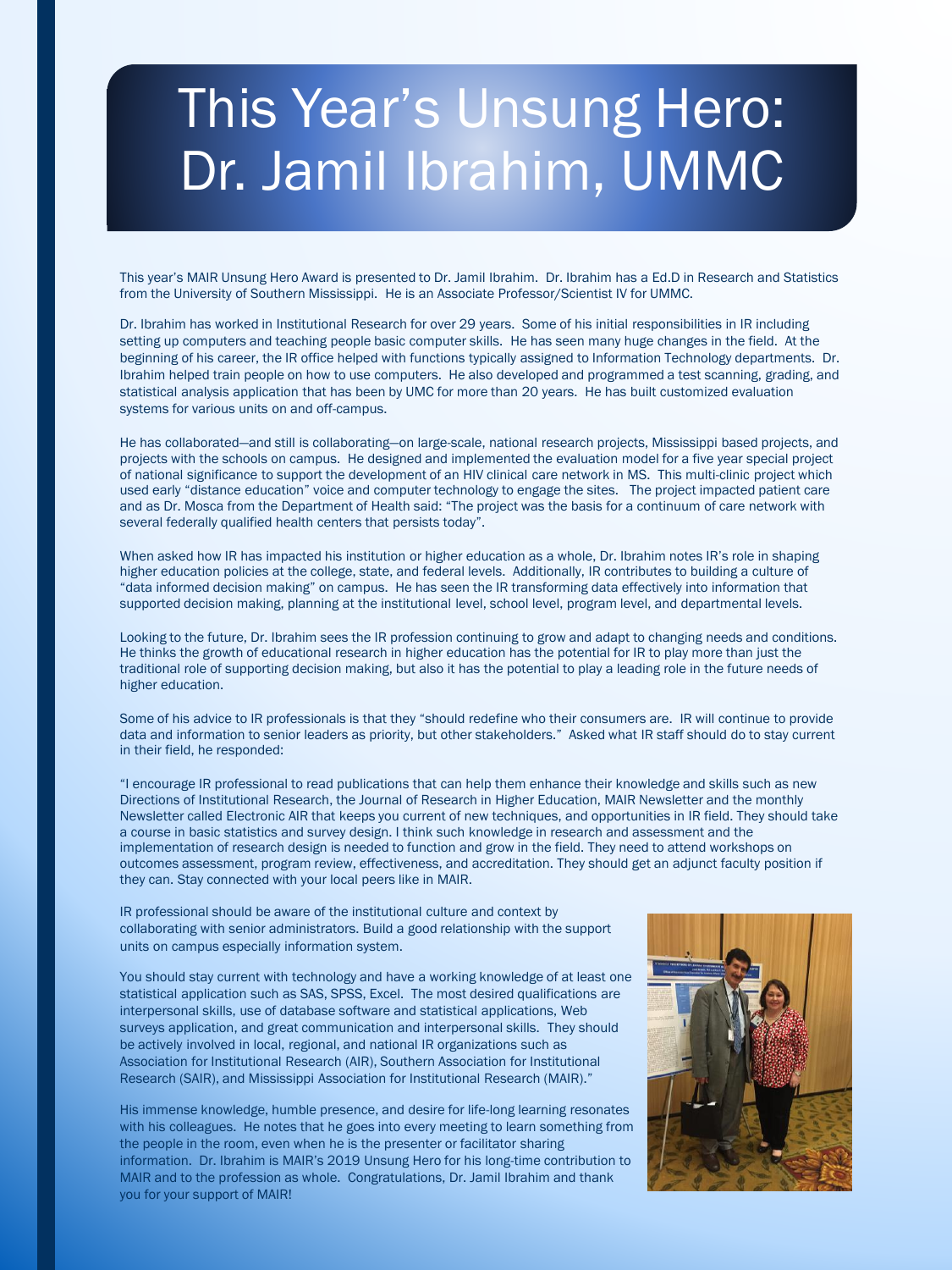## This Year's Unsung Hero: Dr. Jamil Ibrahim, UMMC

This year's MAIR Unsung Hero Award is presented to Dr. Jamil Ibrahim. Dr. Ibrahim has a Ed.D in Research and Statistics from the University of Southern Mississippi. He is an Associate Professor/Scientist IV for UMMC.

Dr. Ibrahim has worked in Institutional Research for over 29 years. Some of his initial responsibilities in IR including setting up computers and teaching people basic computer skills. He has seen many huge changes in the field. At the beginning of his career, the IR office helped with functions typically assigned to Information Technology departments. Dr. Ibrahim helped train people on how to use computers. He also developed and programmed a test scanning, grading, and statistical analysis application that has been by UMC for more than 20 years. He has built customized evaluation systems for various units on and off-campus.

He has collaborated—and still is collaborating—on large-scale, national research projects, Mississippi based projects, and projects with the schools on campus. He designed and implemented the evaluation model for a five year special project of national significance to support the development of an HIV clinical care network in MS. This multi-clinic project which used early "distance education" voice and computer technology to engage the sites. The project impacted patient care and as Dr. Mosca from the Department of Health said: "The project was the basis for a continuum of care network with several federally qualified health centers that persists today".

When asked how IR has impacted his institution or higher education as a whole, Dr. Ibrahim notes IR's role in shaping higher education policies at the college, state, and federal levels. Additionally, IR contributes to building a culture of "data informed decision making" on campus. He has seen the IR transforming data effectively into information that supported decision making, planning at the institutional level, school level, program level, and departmental levels.

Looking to the future, Dr. Ibrahim sees the IR profession continuing to grow and adapt to changing needs and conditions. He thinks the growth of educational research in higher education has the potential for IR to play more than just the traditional role of supporting decision making, but also it has the potential to play a leading role in the future needs of higher education.

Some of his advice to IR professionals is that they "should redefine who their consumers are. IR will continue to provide data and information to senior leaders as priority, but other stakeholders." Asked what IR staff should do to stay current in their field, he responded:

"I encourage IR professional to read publications that can help them enhance their knowledge and skills such as new Directions of Institutional Research, the Journal of Research in Higher Education, MAIR Newsletter and the monthly Newsletter called Electronic AIR that keeps you current of new techniques, and opportunities in IR field. They should take a course in basic statistics and survey design. I think such knowledge in research and assessment and the implementation of research design is needed to function and grow in the field. They need to attend workshops on outcomes assessment, program review, effectiveness, and accreditation. They should get an adjunct faculty position if they can. Stay connected with your local peers like in MAIR.

IR professional should be aware of the institutional culture and context by collaborating with senior administrators. Build a good relationship with the support units on campus especially information system.

You should stay current with technology and have a working knowledge of at least one statistical application such as SAS, SPSS, Excel. The most desired qualifications are interpersonal skills, use of database software and statistical applications, Web surveys application, and great communication and interpersonal skills. They should be actively involved in local, regional, and national IR organizations such as Association for Institutional Research (AIR), Southern Association for Institutional Research (SAIR), and Mississippi Association for Institutional Research (MAIR)."

His immense knowledge, humble presence, and desire for life-long learning resonates with his colleagues. He notes that he goes into every meeting to learn something from the people in the room, even when he is the presenter or facilitator sharing information. Dr. Ibrahim is MAIR's 2019 Unsung Hero for his long-time contribution to MAIR and to the profession as whole. Congratulations, Dr. Jamil Ibrahim and thank you for your support of MAIR!

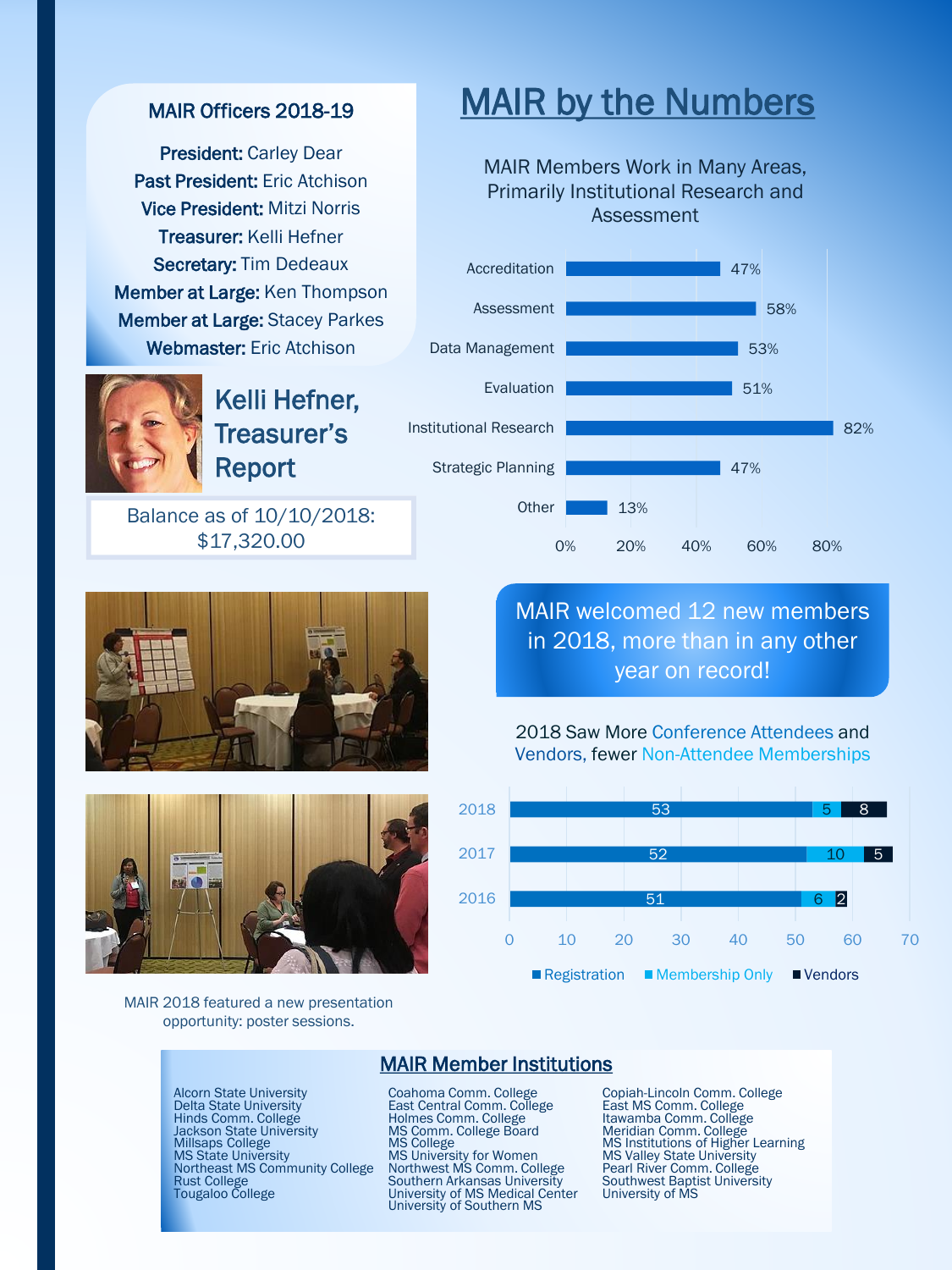#### MAIR Officers 2018-19

President: Carley Dear Past President: Eric Atchison Vice President: Mitzi Norris Treasurer: Kelli Hefner Secretary: Tim Dedeaux Member at Large: Ken Thompson Member at Large: Stacey Parkes Webmaster: Eric Atchison



Kelli Hefner, Treasurer's Report

Balance as of 10/10/2018: \$17,320.00





MAIR 2018 featured a new presentation opportunity: poster sessions.

## MAIR by the Numbers

MAIR Members Work in Many Areas, Primarily Institutional Research and Assessment



### MAIR welcomed 12 new members in 2018, more than in any other year on record!





#### MAIR Member Institutions

Alcorn State University Coahoma Comm. College Copiah-Lincoln Comm. Co<br>
Delta State University East Central Comm. College Hinds Comm. College Hinds Comm. College East MS Comm. College<br>
Hinds Comm. College Eoard Meridian Com Hinds Comm. College **Itawamba Comment College** Holmes Comm. College Itawamba Comm. College Itawamba Comm. College<br>Jackson State University MS Comm. College Board Meridian Comm. College Northeast MS Community College Northwest MS Comm. College<br>Rust College Pouthern Arkansas University Northeast MS Community College Northwest MS Comm. College Pearl River Comm. College<br>Rust College Southern Arkansas University Southwest Baptist University<br>Tougaloo College University of MS Medical Center University of MS

MS University for Women<br>Northwest MS Comm. College University of MS Medical Center University of Southern MS

Alcorn State University **Coahoma Comm. College** Copiah-Lincoln Comm. College Delta State University Cast Central Comm. College Cast NS Comm. College Jackson State University MS Comm. College Board Meridian Comm. College Manuscular College MS Institutions of Higher Learning<br>
MILISaps College MS College MS College MS Institutions of Higher Learning<br>
MS State University M